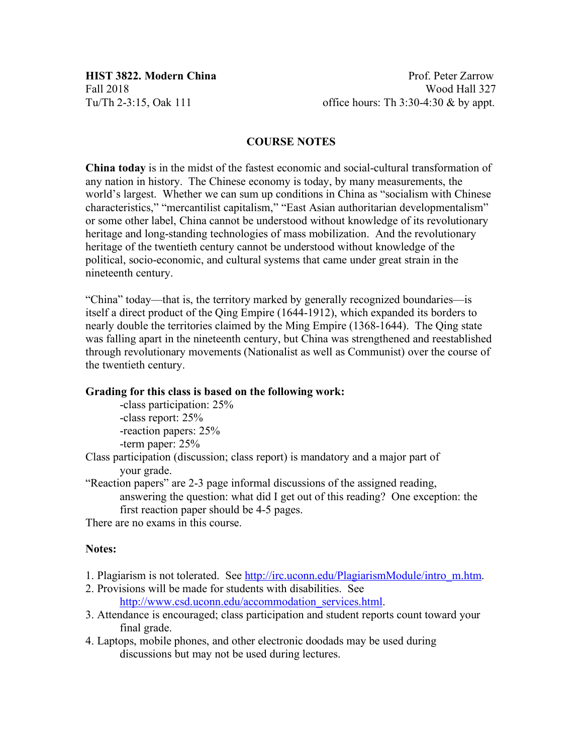# **COURSE NOTES**

**China today** is in the midst of the fastest economic and social-cultural transformation of any nation in history. The Chinese economy is today, by many measurements, the world's largest. Whether we can sum up conditions in China as "socialism with Chinese characteristics," "mercantilist capitalism," "East Asian authoritarian developmentalism" or some other label, China cannot be understood without knowledge of its revolutionary heritage and long-standing technologies of mass mobilization. And the revolutionary heritage of the twentieth century cannot be understood without knowledge of the political, socio-economic, and cultural systems that came under great strain in the nineteenth century.

"China" today—that is, the territory marked by generally recognized boundaries—is itself a direct product of the Qing Empire (1644-1912), which expanded its borders to nearly double the territories claimed by the Ming Empire (1368-1644). The Qing state was falling apart in the nineteenth century, but China was strengthened and reestablished through revolutionary movements (Nationalist as well as Communist) over the course of the twentieth century.

## **Grading for this class is based on the following work:**

-class participation: 25% -class report: 25% -reaction papers: 25% -term paper: 25%

Class participation (discussion; class report) is mandatory and a major part of your grade.

"Reaction papers" are 2-3 page informal discussions of the assigned reading, answering the question: what did I get out of this reading? One exception: the first reaction paper should be 4-5 pages.

There are no exams in this course.

## **Notes:**

- 1. Plagiarism is not tolerated. See http://irc.uconn.edu/PlagiarismModule/intro\_m.htm.
- 2. Provisions will be made for students with disabilities. See http://www.csd.uconn.edu/accommodation\_services.html.
- 3. Attendance is encouraged; class participation and student reports count toward your final grade.
- 4. Laptops, mobile phones, and other electronic doodads may be used during discussions but may not be used during lectures.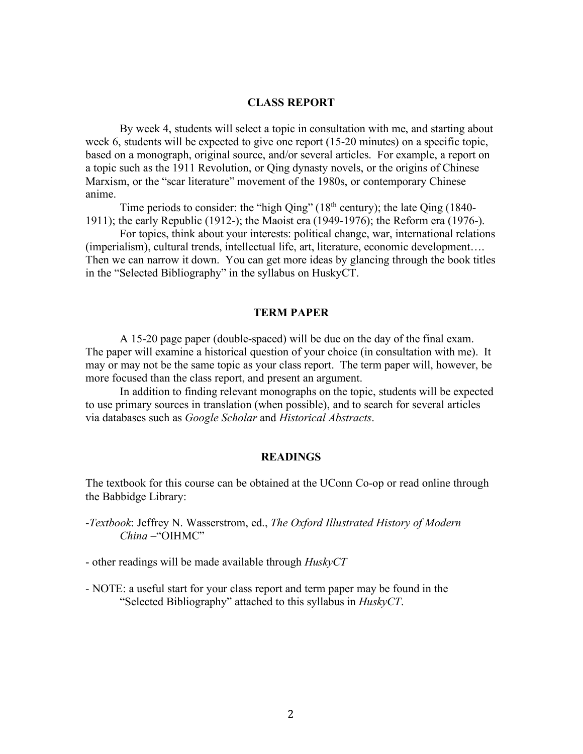### **CLASS REPORT**

By week 4, students will select a topic in consultation with me, and starting about week 6, students will be expected to give one report (15-20 minutes) on a specific topic, based on a monograph, original source, and/or several articles. For example, a report on a topic such as the 1911 Revolution, or Qing dynasty novels, or the origins of Chinese Marxism, or the "scar literature" movement of the 1980s, or contemporary Chinese anime.

Time periods to consider: the "high Qing"  $(18<sup>th</sup>$  century); the late Qing  $(1840-$ 1911); the early Republic (1912-); the Maoist era (1949-1976); the Reform era (1976-).

For topics, think about your interests: political change, war, international relations (imperialism), cultural trends, intellectual life, art, literature, economic development…. Then we can narrow it down. You can get more ideas by glancing through the book titles in the "Selected Bibliography" in the syllabus on HuskyCT.

### **TERM PAPER**

A 15-20 page paper (double-spaced) will be due on the day of the final exam. The paper will examine a historical question of your choice (in consultation with me). It may or may not be the same topic as your class report. The term paper will, however, be more focused than the class report, and present an argument.

In addition to finding relevant monographs on the topic, students will be expected to use primary sources in translation (when possible), and to search for several articles via databases such as *Google Scholar* and *Historical Abstracts*.

## **READINGS**

The textbook for this course can be obtained at the UConn Co-op or read online through the Babbidge Library:

-*Textbook*: Jeffrey N. Wasserstrom, ed., *The Oxford Illustrated History of Modern China* –"OIHMC"

- other readings will be made available through *HuskyCT*
- *-* NOTE: a useful start for your class report and term paper may be found in the "Selected Bibliography" attached to this syllabus in *HuskyCT*.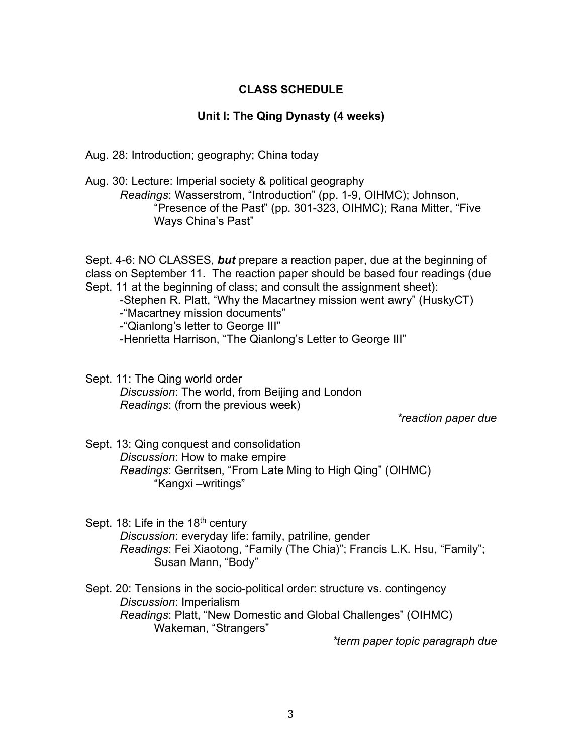# **CLASS SCHEDULE**

## **Unit I: The Qing Dynasty (4 weeks)**

Aug. 28: Introduction; geography; China today

Aug. 30: Lecture: Imperial society & political geography *Readings*: Wasserstrom, "Introduction" (pp. 1-9, OIHMC); Johnson, "Presence of the Past" (pp. 301-323, OIHMC); Rana Mitter, "Five Ways China's Past"

Sept. 4-6: NO CLASSES, *but* prepare a reaction paper, due at the beginning of class on September 11. The reaction paper should be based four readings (due Sept. 11 at the beginning of class; and consult the assignment sheet): -Stephen R. Platt, "Why the Macartney mission went awry" (HuskyCT) -"Macartney mission documents" -"Qianlong's letter to George III"

-Henrietta Harrison, "The Qianlong's Letter to George III"

Sept. 11: The Qing world order *Discussion*: The world, from Beijing and London *Readings*: (from the previous week)

*\*reaction paper due*

Sept. 13: Qing conquest and consolidation *Discussion*: How to make empire *Readings*: Gerritsen, "From Late Ming to High Qing" (OIHMC) "Kangxi –writings"

Sept. 18: Life in the 18<sup>th</sup> century *Discussion*: everyday life: family, patriline, gender *Readings*: Fei Xiaotong, "Family (The Chia)"; Francis L.K. Hsu, "Family"; Susan Mann, "Body"

Sept. 20: Tensions in the socio-political order: structure vs. contingency *Discussion*: Imperialism *Readings*: Platt, "New Domestic and Global Challenges" (OIHMC) Wakeman, "Strangers"

*\*term paper topic paragraph due*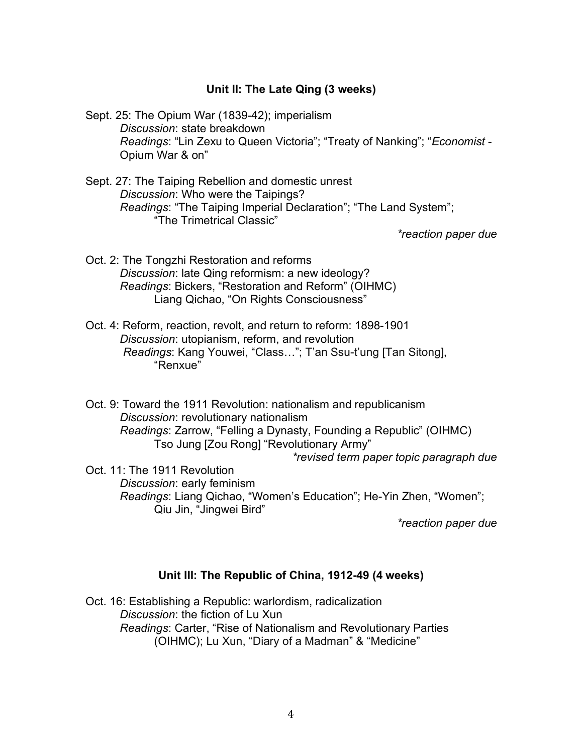# **Unit II: The Late Qing (3 weeks)**

Sept. 25: The Opium War (1839-42); imperialism *Discussion*: state breakdown *Readings*: "Lin Zexu to Queen Victoria"; "Treaty of Nanking"; "*Economist* - Opium War & on"

Sept. 27: The Taiping Rebellion and domestic unrest *Discussion*: Who were the Taipings? *Readings*: "The Taiping Imperial Declaration"; "The Land System"; "The Trimetrical Classic"

*\*reaction paper due*

- Oct. 2: The Tongzhi Restoration and reforms *Discussion*: late Qing reformism: a new ideology? *Readings*: Bickers, "Restoration and Reform" (OIHMC) Liang Qichao, "On Rights Consciousness"
- Oct. 4: Reform, reaction, revolt, and return to reform: 1898-1901 *Discussion*: utopianism, reform, and revolution *Readings*: Kang Youwei, "Class…"; T'an Ssu-t'ung [Tan Sitong], "Renxue"

Oct. 9: Toward the 1911 Revolution: nationalism and republicanism *Discussion*: revolutionary nationalism *Readings*: Zarrow, "Felling a Dynasty, Founding a Republic" (OIHMC) Tso Jung [Zou Rong] "Revolutionary Army"

*\*revised term paper topic paragraph due*

Oct. 11: The 1911 Revolution *Discussion*: early feminism *Readings*: Liang Qichao, "Women's Education"; He-Yin Zhen, "Women"; Qiu Jin, "Jingwei Bird"

*\*reaction paper due*

# **Unit III: The Republic of China, 1912-49 (4 weeks)**

Oct. 16: Establishing a Republic: warlordism, radicalization *Discussion*: the fiction of Lu Xun *Readings*: Carter, "Rise of Nationalism and Revolutionary Parties (OIHMC); Lu Xun, "Diary of a Madman" & "Medicine"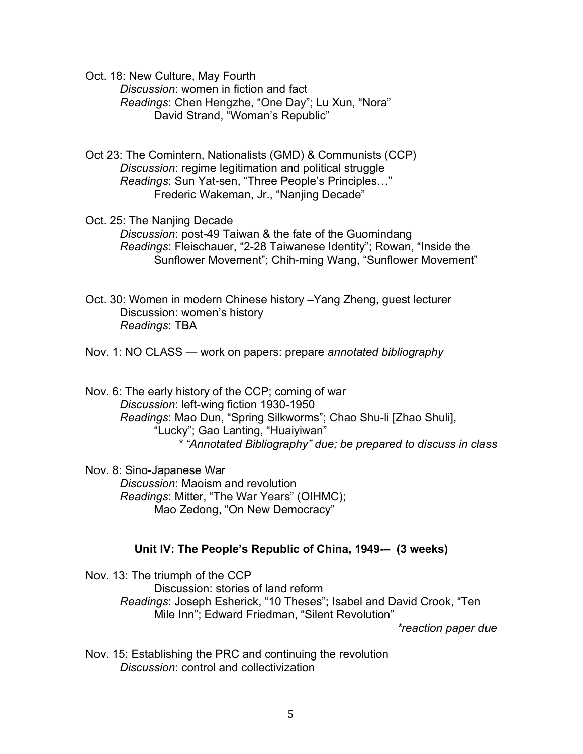Oct. 18: New Culture, May Fourth

*Discussion*: women in fiction and fact *Readings*: Chen Hengzhe, "One Day"; Lu Xun, "Nora" David Strand, "Woman's Republic"

Oct 23: The Comintern, Nationalists (GMD) & Communists (CCP) *Discussion*: regime legitimation and political struggle *Readings*: Sun Yat-sen, "Three People's Principles…" Frederic Wakeman, Jr., "Nanjing Decade"

- Oct. 25: The Nanjing Decade *Discussion*: post-49 Taiwan & the fate of the Guomindang *Readings*: Fleischauer, "2-28 Taiwanese Identity"; Rowan, "Inside the Sunflower Movement"; Chih-ming Wang, "Sunflower Movement"
- Oct. 30: Women in modern Chinese history –Yang Zheng, guest lecturer Discussion: women's history *Readings*: TBA

Nov. 1: NO CLASS — work on papers: prepare *annotated bibliography*

Nov. 6: The early history of the CCP; coming of war *Discussion*: left-wing fiction 1930-1950 *Readings*: Mao Dun, "Spring Silkworms"; Chao Shu-li [Zhao Shuli], "Lucky"; Gao Lanting, "Huaiyiwan" *\* "Annotated Bibliography" due; be prepared to discuss in class*

Nov. 8: Sino-Japanese War *Discussion*: Maoism and revolution *Readings*: Mitter, "The War Years" (OIHMC); Mao Zedong, "On New Democracy"

## **Unit IV: The People's Republic of China, 1949-– (3 weeks)**

Nov. 13: The triumph of the CCP Discussion: stories of land reform *Readings*: Joseph Esherick, "10 Theses"; Isabel and David Crook, "Ten Mile Inn"; Edward Friedman, "Silent Revolution"

*\*reaction paper due*

Nov. 15: Establishing the PRC and continuing the revolution *Discussion*: control and collectivization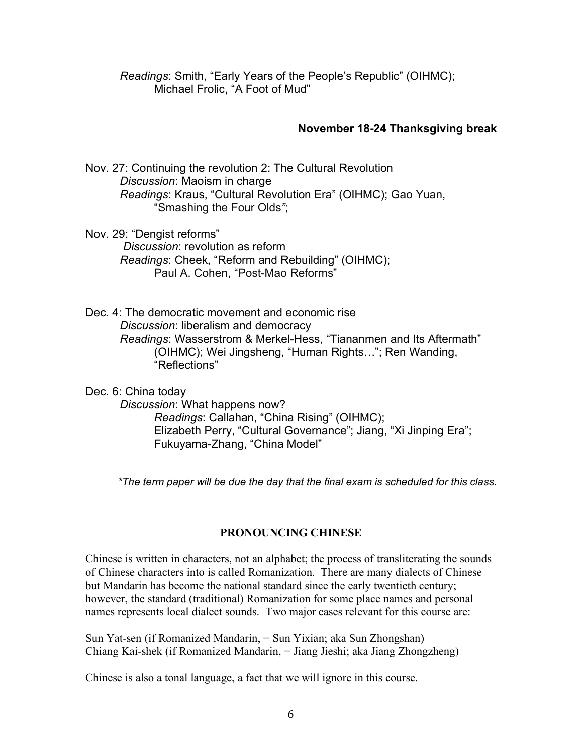*Readings*: Smith, "Early Years of the People's Republic" (OIHMC); Michael Frolic, "A Foot of Mud"

## **November 18-24 Thanksgiving break**

Nov. 27: Continuing the revolution 2: The Cultural Revolution *Discussion*: Maoism in charge *Readings*: Kraus, "Cultural Revolution Era" (OIHMC); Gao Yuan, "Smashing the Four Olds*"*;

Nov. 29: "Dengist reforms" *Discussion*: revolution as reform *Readings*: Cheek, "Reform and Rebuilding" (OIHMC); Paul A. Cohen, "Post-Mao Reforms"

Dec. 4: The democratic movement and economic rise *Discussion*: liberalism and democracy *Readings*: Wasserstrom & Merkel-Hess, "Tiananmen and Its Aftermath" (OIHMC); Wei Jingsheng, "Human Rights…"; Ren Wanding, "Reflections"

Dec. 6: China today *Discussion*: What happens now? *Readings*: Callahan, "China Rising" (OIHMC); Elizabeth Perry, "Cultural Governance"; Jiang, "Xi Jinping Era"; Fukuyama-Zhang, "China Model"

*\*The term paper will be due the day that the final exam is scheduled for this class.*

# **PRONOUNCING CHINESE**

Chinese is written in characters, not an alphabet; the process of transliterating the sounds of Chinese characters into is called Romanization. There are many dialects of Chinese but Mandarin has become the national standard since the early twentieth century; however, the standard (traditional) Romanization for some place names and personal names represents local dialect sounds. Two major cases relevant for this course are:

Sun Yat-sen (if Romanized Mandarin, = Sun Yixian; aka Sun Zhongshan) Chiang Kai-shek (if Romanized Mandarin, = Jiang Jieshi; aka Jiang Zhongzheng)

Chinese is also a tonal language, a fact that we will ignore in this course.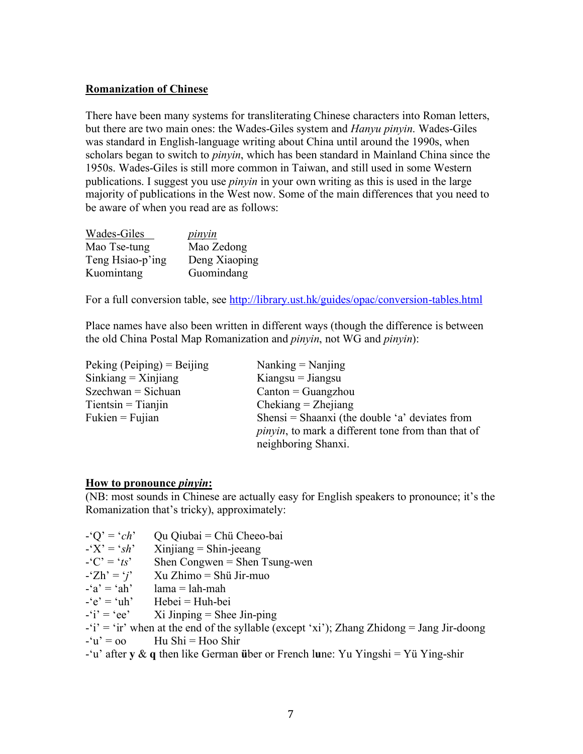# **Romanization of Chinese**

There have been many systems for transliterating Chinese characters into Roman letters, but there are two main ones: the Wades-Giles system and *Hanyu pinyin*. Wades-Giles was standard in English-language writing about China until around the 1990s, when scholars began to switch to *pinyin*, which has been standard in Mainland China since the 1950s. Wades-Giles is still more common in Taiwan, and still used in some Western publications. I suggest you use *pinyin* in your own writing as this is used in the large majority of publications in the West now. Some of the main differences that you need to be aware of when you read are as follows:

| Wades-Giles      | <i>pinyin</i> |
|------------------|---------------|
| Mao Tse-tung     | Mao Zedong    |
| Teng Hsiao-p'ing | Deng Xiaoping |
| Kuomintang       | Guomindang    |

For a full conversion table, see http://library.ust.hk/guides/opac/conversion-tables.html

Place names have also been written in different ways (though the difference is between the old China Postal Map Romanization and *pinyin*, not WG and *pinyin*):

| Peking (Peiping) = Beijing | Nanking $=$ Nanjing                                        |
|----------------------------|------------------------------------------------------------|
| $Sinkiang = Xinjiang$      | $Kiangsu = Jiangsu$                                        |
| $S$ zechwan = Sichuan      | $Canton = Guangzhou$                                       |
| $Tientsin = Tianjin$       | $Chekiang = Zhejiang$                                      |
| $Fukien = Fujian$          | Shensi = Shaanxi (the double 'a' deviates from             |
|                            | <i>pinyin</i> , to mark a different tone from than that of |
|                            | neighboring Shanxi.                                        |

## **How to pronounce** *pinyin***:**

(NB: most sounds in Chinese are actually easy for English speakers to pronounce; it's the Romanization that's tricky), approximately:

-'Q' = '*ch*' Qu Qiubai = Chü Cheeo-bai

 $\angle$ 'X' = '*sh*' Xinjiang = Shin-jeeang

- $-C' = 'ts'$  Shen Congwen = Shen Tsung-wen
- $-Zh' = 'j'$  Xu Zhimo = Shü Jir-muo
- $-i\mathbf{a}' = i\mathbf{a}$   $\mathbf{h}' = \mathbf{a}$   $\mathbf{h}' = \mathbf{a}$
- $-e' = 'uh'$  Hebei = Huh-bei

 $-i'i' = 'ee'$  Xi Jinping = Shee Jin-ping

 $-i'$  = 'ir' when at the end of the syllable (except 'xi'); Zhang Zhidong = Jang Jir-doong

 $-u' = 00$  Hu Shi = Hoo Shir

-'u' after **y** & **q** then like German **ü**ber or French l**u**ne: Yu Yingshi = Yü Ying-shir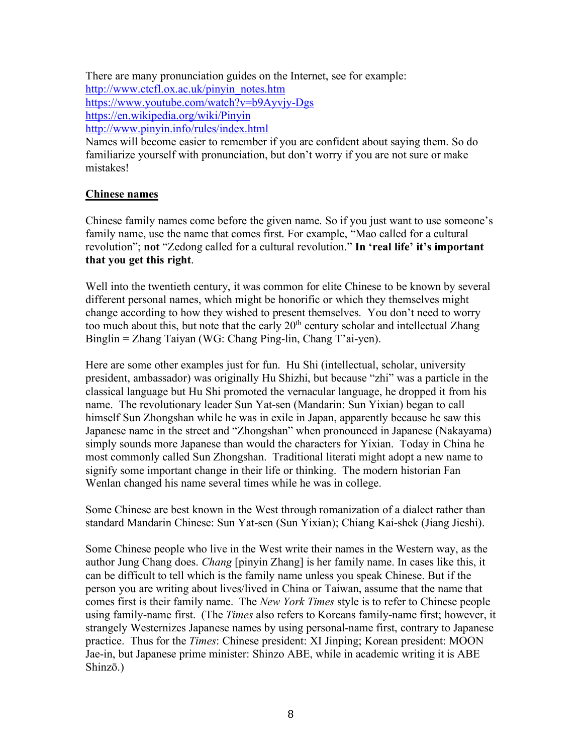There are many pronunciation guides on the Internet, see for example: http://www.ctcfl.ox.ac.uk/pinyin\_notes.htm https://www.youtube.com/watch?v=b9Ayvjy-Dgs https://en.wikipedia.org/wiki/Pinyin http://www.pinyin.info/rules/index.html

Names will become easier to remember if you are confident about saying them. So do familiarize yourself with pronunciation, but don't worry if you are not sure or make mistakes!

# **Chinese names**

Chinese family names come before the given name. So if you just want to use someone's family name, use the name that comes first. For example, "Mao called for a cultural revolution"; **not** "Zedong called for a cultural revolution." **In 'real life' it's important that you get this right**.

Well into the twentieth century, it was common for elite Chinese to be known by several different personal names, which might be honorific or which they themselves might change according to how they wished to present themselves. You don't need to worry too much about this, but note that the early  $20<sup>th</sup>$  century scholar and intellectual Zhang Binglin = Zhang Taiyan (WG: Chang Ping-lin, Chang T'ai-yen).

Here are some other examples just for fun. Hu Shi (intellectual, scholar, university president, ambassador) was originally Hu Shizhi, but because "zhi" was a particle in the classical language but Hu Shi promoted the vernacular language, he dropped it from his name. The revolutionary leader Sun Yat-sen (Mandarin: Sun Yixian) began to call himself Sun Zhongshan while he was in exile in Japan, apparently because he saw this Japanese name in the street and "Zhongshan" when pronounced in Japanese (Nakayama) simply sounds more Japanese than would the characters for Yixian. Today in China he most commonly called Sun Zhongshan. Traditional literati might adopt a new name to signify some important change in their life or thinking. The modern historian Fan Wenlan changed his name several times while he was in college.

Some Chinese are best known in the West through romanization of a dialect rather than standard Mandarin Chinese: Sun Yat-sen (Sun Yixian); Chiang Kai-shek (Jiang Jieshi).

Some Chinese people who live in the West write their names in the Western way, as the author Jung Chang does. *Chang* [pinyin Zhang] is her family name. In cases like this, it can be difficult to tell which is the family name unless you speak Chinese. But if the person you are writing about lives/lived in China or Taiwan, assume that the name that comes first is their family name. The *New York Times* style is to refer to Chinese people using family-name first. (The *Times* also refers to Koreans family-name first; however, it strangely Westernizes Japanese names by using personal-name first, contrary to Japanese practice. Thus for the *Times*: Chinese president: XI Jinping; Korean president: MOON Jae-in, but Japanese prime minister: Shinzo ABE, while in academic writing it is ABE Shinzō.)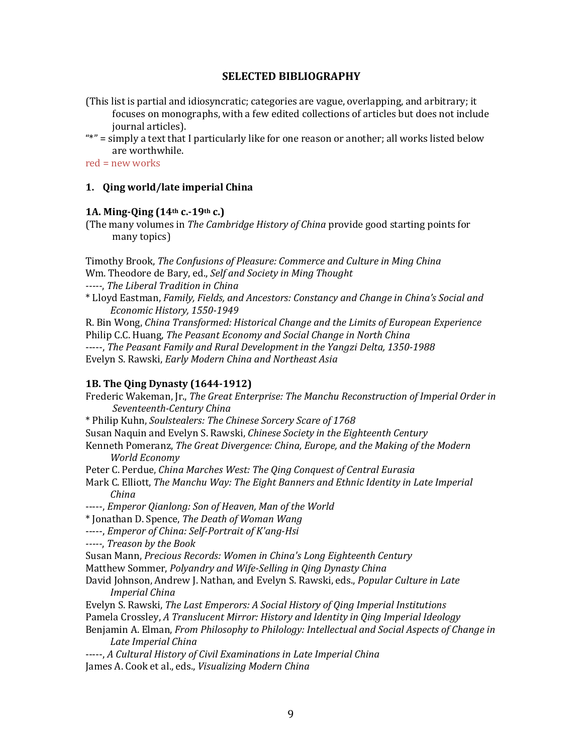## **SELECTED BIBLIOGRAPHY**

- (This list is partial and idiosyncratic; categories are vague, overlapping, and arbitrary; it focuses on monographs, with a few edited collections of articles but does not include journal articles).
- "\*" = simply a text that I particularly like for one reason or another; all works listed below are worthwhile.

 $red = new works$ 

## 1. Qing world/late imperial China

## **1A. Ming-Qing (14th c.-19th c.)**

(The many volumes in *The Cambridge History of China* provide good starting points for many topics)

Timothy Brook, *The Confusions of Pleasure: Commerce and Culture in Ming China* Wm. Theodore de Bary, ed., *Self and Society in Ming Thought -----*, *The Liberal Tradition in China*

\* Lloyd Eastman, *Family, Fields, and Ancestors: Constancy and Change in China's Social and Economic History, 1550-1949*

R. Bin Wong, *China Transformed: Historical Change and the Limits of European Experience* Philip C.C. Huang, *The Peasant Economy and Social Change in North China* -----, The Peasant Family and Rural Development in the Yangzi Delta, 1350-1988 Evelyn S. Rawski, *Early Modern China and Northeast Asia*

## **1B. The Qing Dynasty (1644-1912)**

Frederic Wakeman, [r., *The Great Enterprise: The Manchu Reconstruction of Imperial Order in Seventeenth-Century China* \* Philip Kuhn, *Soulstealers: The Chinese Sorcery Scare of 1768* Susan Naquin and Evelyn S. Rawski, *Chinese Society in the Eighteenth Century* Kenneth Pomeranz, *The Great Divergence: China, Europe, and the Making of the Modern World Economy* Peter C. Perdue, *China Marches West: The Qing Conquest of Central Eurasia* Mark C. Elliott, *The Manchu Way: The Eight Banners and Ethnic Identity in Late Imperial China* -----, *Emperor Qianlong: Son of Heaven, Man of the World* \* Jonathan D. Spence, *The Death of Woman Wang* -----, *Emperor of China: Self-Portrait of K'ang-Hsi -----*, *Treason by the Book* Susan Mann, *Precious Records: Women in China's Long Eighteenth Century* Matthew Sommer, *Polyandry and Wife-Selling in Qing Dynasty China* David Johnson, Andrew J. Nathan, and Evelyn S. Rawski, eds., *Popular Culture in Late Imperial China* Evelyn S. Rawski, *The Last Emperors: A Social History of Qing Imperial Institutions* Pamela Crossley, *A* Translucent Mirror: History and Identity in Qing Imperial Ideology Benjamin A. Elman, *From Philosophy to Philology: Intellectual and Social Aspects of Change in Late Imperial China* -----, *A* Cultural History of Civil Examinations in Late Imperial China James A. Cook et al., eds., *Visualizing Modern China*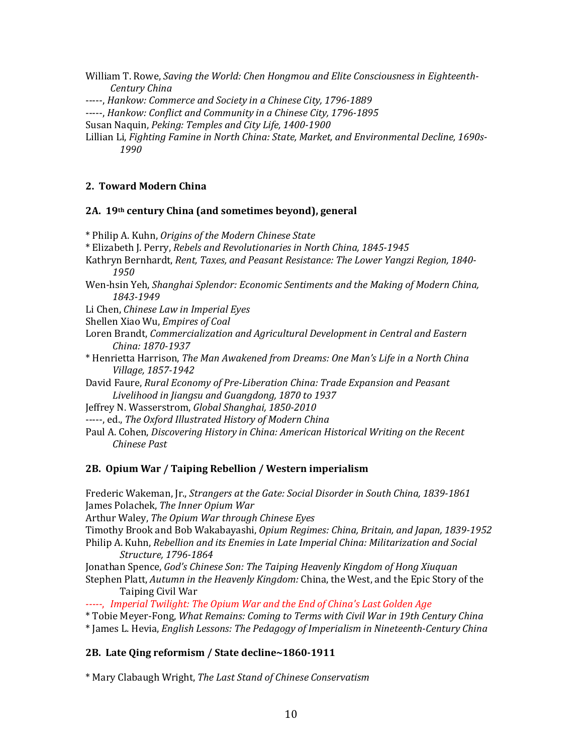William T. Rowe, *Saving the World: Chen Hongmou and Elite Consciousness in Eighteenth-Century China*

-----, *Hankow: Commerce and Society in a Chinese City, 1796-1889* 

-----, *Hankow: Conflict and Community in a Chinese City, 1796-1895* 

Susan Naquin, *Peking: Temples and City Life, 1400-1900* 

Lillian Li, *Fighting Famine in North China: State, Market, and Environmental Decline, 1690s-1990*

#### **2. Toward Modern China**

#### **2A. 19th century China (and sometimes beyond), general**

\* Philip A. Kuhn, *Origins of the Modern Chinese State*

- \* Elizabeth J. Perry, *Rebels and Revolutionaries in North China, 1845-1945*
- Kathryn Bernhardt, *Rent, Taxes, and Peasant Resistance: The Lower Yangzi Region, 1840-1950*
- Wen-hsin Yeh, *Shanghai Splendor: Economic Sentiments and the Making of Modern China, 1843-1949*

Li Chen, *Chinese Law in Imperial Eyes* 

Shellen Xiao Wu, *Empires of Coal* 

- Loren Brandt, *Commercialization and Agricultural Development in Central and Eastern China: 1870-1937*
- \* Henrietta Harrison, *The Man Awakened from Dreams: One Man's Life in a North China Village, 1857-1942*
- David Faure, *Rural Economy of Pre-Liberation China: Trade Expansion and Peasant* Livelihood in Jiangsu and Guangdong, 1870 to 1937

Jeffrey N. Wasserstrom, *Global Shanghai*, 1850-2010

-----, ed., The Oxford Illustrated History of Modern China

Paul A. Cohen, *Discovering History in China: American Historical Writing on the Recent Chinese Past*

#### **2B. Opium War / Taiping Rebellion / Western imperialism**

Frederic Wakeman, [r., *Strangers at the Gate: Social Disorder in South China, 1839-1861* James Polachek, *The Inner Opium War* Arthur Waley, *The Opium War through Chinese Eyes* Timothy Brook and Bob Wakabayashi, *Opium Regimes: China, Britain, and Japan, 1839-1952* Philip A. Kuhn, *Rebellion and its Enemies in Late Imperial China: Militarization and Social Structure, 1796-1864* Jonathan Spence, *God's Chinese Son: The Taiping Heavenly Kingdom of Hong Xiuquan* Stephen Platt, *Autumn in the Heavenly Kingdom:* China, the West, and the Epic Story of the Taiping Civil War *-----*, *Imperial Twilight: The Opium War and the End of China's Last Golden Age* \* Tobie Meyer-Fong, *What Remains: Coming to Terms with Civil War in 19th Century China*  \* James L. Hevia, *English Lessons: The Pedagogy of Imperialism in Nineteenth-Century China*

#### **2B. Late Qing reformism / State decline~1860-1911**

\* Mary Clabaugh Wright, *The Last Stand of Chinese Conservatism*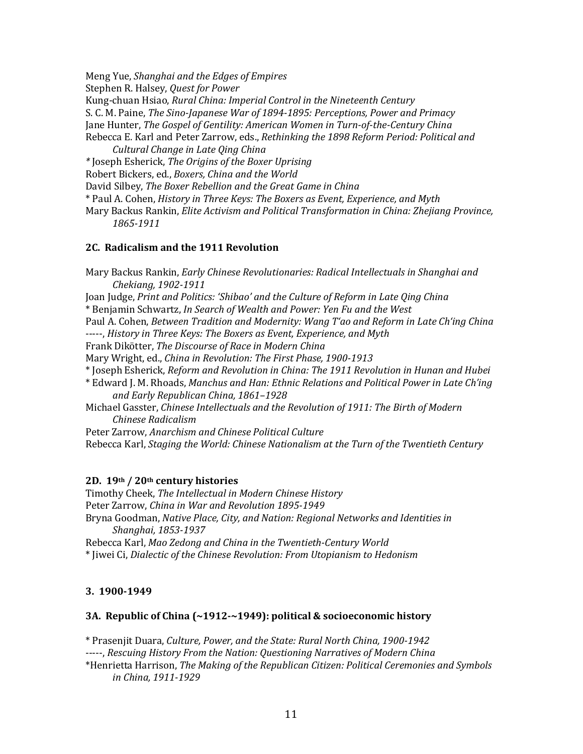Meng Yue, *Shanghai and the Edges of Empires* Stephen R. Halsey, *Quest for Power* Kung-chuan Hsiao, *Rural China: Imperial Control in the Nineteenth Century* S. C. M. Paine, *The Sino-Japanese War of 1894-1895: Perceptions, Power and Primacy* Jane Hunter, *The Gospel of Gentility: American Women in Turn-of-the-Century China* Rebecca E. Karl and Peter Zarrow, eds., *Rethinking the 1898 Reform Period: Political and Cultural Change in Late Qing China \** Joseph Esherick, *The Origins of the Boxer Uprising* Robert Bickers, ed., *Boxers, China and the World* David Silbey, *The Boxer Rebellion and the Great Game in China* \* Paul A. Cohen, *History in Three Keys: The Boxers as Event, Experience, and Myth* Mary Backus Rankin, *Elite Activism and Political Transformation in China: Zhejiang Province,* 

*1865-1911*

### **2C. Radicalism and the 1911 Revolution**

Mary Backus Rankin, *Early Chinese Revolutionaries: Radical Intellectuals in Shanghai and Chekiang, 1902-1911* Joan Judge, Print and Politics: 'Shibao' and the Culture of Reform in Late Qing China \* Benjamin Schwartz, *In Search of Wealth and Power: Yen Fu and the West* Paul A. Cohen, *Between Tradition and Modernity: Wang T'ao and Reform in Late Ch'ing China* -----, *History in Three Keys: The Boxers as Event, Experience, and Myth* Frank Dikötter, *The Discourse of Race in Modern China* Mary Wright, ed., *China in Revolution: The First Phase, 1900-1913* \* Joseph Esherick, *Reform and Revolution in China: The 1911 Revolution in Hunan and Hubei* \* Edward J. M. Rhoads, *Manchus and Han: Ethnic Relations and Political Power in Late Ch'ing and Early Republican China, 1861–1928* Michael Gasster, Chinese Intellectuals and the Revolution of 1911: The Birth of Modern *Chinese Radicalism* Peter Zarrow, *Anarchism and Chinese Political Culture*

Rebecca Karl, *Staging the World: Chinese Nationalism at the Turn of the Twentieth Century* 

## **2D. 19th / 20th century histories**

Timothy Cheek, *The Intellectual in Modern Chinese History* Peter Zarrow, *Ching in War and Revolution 1895-1949* Bryna Goodman, *Native Place, City, and Nation: Regional Networks and Identities in Shanghai, 1853-1937*  Rebecca Karl, *Mao Zedong and China in the Twentieth-Century World* 

\* Jiwei Ci, *Dialectic of the Chinese Revolution: From Utopianism to Hedonism*

## **3. 1900-1949**

## **3A.** Republic of China (~1912-~1949): political & socioeconomic history

\* Prasenjit Duara, *Culture, Power, and the State: Rural North China, 1900-1942* 

-----, *Rescuing History From the Nation: Questioning Narratives of Modern China*

\*Henrietta Harrison, *The Making of the Republican Citizen: Political Ceremonies and Symbols in China, 1911-1929*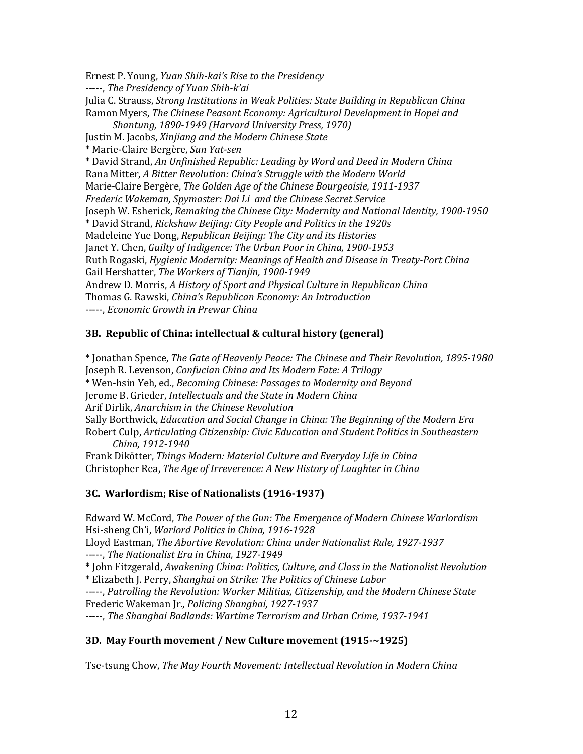Ernest P. Young, *Yuan Shih-kai's Rise to the Presidency* -----, The Presidency of Yuan Shih-k'ai Julia C. Strauss, *Strong Institutions in Weak Polities: State Building in Republican China* Ramon Myers, *The Chinese Peasant Economy: Agricultural Development in Hopei and Shantung, 1890-1949 (Harvard University Press, 1970)* Justin M. Jacobs, *Xinjiang and the Modern Chinese State* \* Marie-Claire Bergère, *Sun Yat-sen* \* David Strand, *An Unfinished Republic: Leading by Word and Deed in Modern China* Rana Mitter, *A Bitter Revolution: China's Struggle with the Modern World* Marie-Claire Bergère, *The Golden Age of the Chinese Bourgeoisie*, 1911-1937 *Frederic Wakeman, Spymaster: Dai Li and the Chinese Secret Service* Joseph W. Esherick, *Remaking the Chinese City: Modernity and National Identity, 1900-1950* \* David Strand, *Rickshaw Beijing: City People and Politics in the 1920s*  Madeleine Yue Dong, *Republican Beijing: The City and its Histories* Janet Y. Chen, *Guilty of Indigence: The Urban Poor in China, 1900-1953* Ruth Rogaski, *Hygienic Modernity: Meanings of Health and Disease in Treaty-Port China* Gail Hershatter, *The Workers of Tianjin, 1900-1949* Andrew D. Morris, *A History of Sport and Physical Culture in Republican China* Thomas G. Rawski, *China's Republican Economy: An Introduction* -----, *Economic Growth in Prewar China* 

## **3B. Republic of China: intellectual & cultural history (general)**

\* Jonathan Spence, *The Gate of Heavenly Peace: The Chinese and Their Revolution, 1895-1980* Joseph R. Levenson, *Confucian China and Its Modern Fate: A Trilogy* \* Wen-hsin Yeh, ed., *Becoming Chinese: Passages to Modernity and Beyond* Jerome B. Grieder, *Intellectuals and the State in Modern China* Arif Dirlik, *Anarchism in the Chinese Revolution* Sally Borthwick, *Education and Social Change in China: The Beginning of the Modern Era* Robert Culp, *Articulating Citizenship: Civic Education and Student Politics in Southeastern China, 1912-1940* Frank Dikötter, *Things Modern: Material Culture and Everyday Life in China* 

Christopher Rea, *The Age of Irreverence: A New History of Laughter in China* 

## **3C.** Warlordism; Rise of Nationalists (1916-1937)

Edward W. McCord, *The Power of the Gun: The Emergence of Modern Chinese Warlordism* Hsi-sheng Ch'i, *Warlord Politics in China, 1916-1928*

Lloyd Eastman, *The Abortive Revolution: China under Nationalist Rule, 1927-1937* -----, The Nationalist Era in China, 1927-1949

\* John Fitzgerald, *Awakening China: Politics, Culture, and Class in the Nationalist Revolution*  \* Elizabeth J. Perry, *Shanghai on Strike: The Politics of Chinese Labor*

-----, Patrolling the Revolution: Worker Militias, Citizenship, and the Modern Chinese State Frederic Wakeman Jr., *Policing Shanghai, 1927-1937*

-----, *The Shanghai Badlands: Wartime Terrorism and Urban Crime, 1937-1941* 

## **3D.** May Fourth movement / New Culture movement (1915-~1925)

Tse-tsung Chow, *The May Fourth Movement: Intellectual Revolution in Modern China*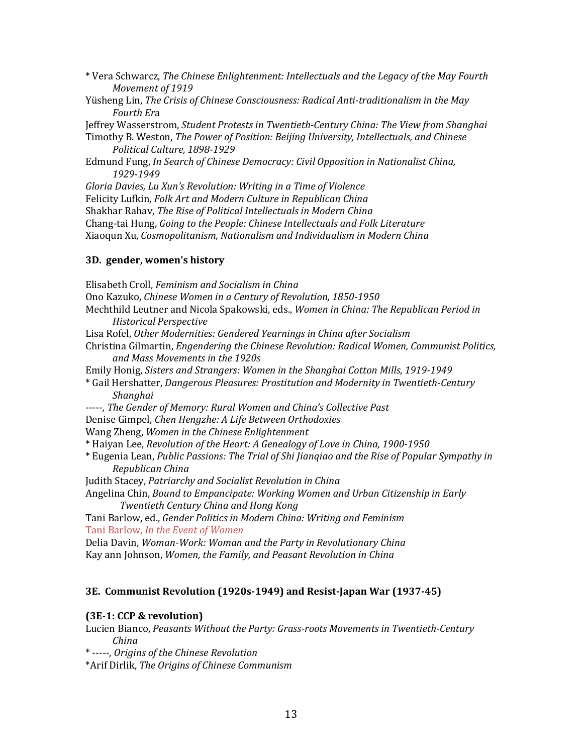- \* Vera Schwarcz, *The Chinese Enlightenment: Intellectuals and the Legacy of the May Fourth Movement of 1919*
- Yüsheng Lin, *The Crisis of Chinese Consciousness: Radical Anti-traditionalism in the May Fourth Er*a

Jeffrey Wasserstrom, *Student Protests in Twentieth-Century China: The View from Shanghai*

Timothy B. Weston, *The Power of Position: Beijing University, Intellectuals, and Chinese Political Culture, 1898-1929*

Edmund Fung, *In Search of Chinese Democracy: Civil Opposition in Nationalist China, 1929-1949*

Gloria Davies, Lu Xun's Revolution: Writing in a Time of Violence

Felicity Lufkin, *Folk Art and Modern Culture in Republican China* 

Shakhar Rahav, *The Rise of Political Intellectuals in Modern China* 

Chang-tai Hung, *Going to the People: Chinese Intellectuals and Folk Literature* 

Xiaoqun Xu, *Cosmopolitanism, Nationalism and Individualism in Modern China*

## **3D. gender, women's history**

Elisabeth Croll, *Feminism and Socialism in China*  Ono Kazuko, *Chinese Women in a Century of Revolution*, 1850-1950 Mechthild Leutner and Nicola Spakowski, eds., *Women in China: The Republican Period in Historical Perspective*  Lisa Rofel, Other Modernities: Gendered Yearnings in China after Socialism Christina Gilmartin, *Engendering the Chinese Revolution: Radical Women, Communist Politics, and Mass Movements in the 1920s*  Emily Honig, *Sisters and Strangers: Women in the Shanghai Cotton Mills, 1919-1949* \* Gail Hershatter, *Dangerous Pleasures: Prostitution and Modernity in Twentieth-Century Shanghai* -----, The Gender of Memory: Rural Women and China's Collective Past Denise Gimpel, *Chen Hengzhe: A Life Between Orthodoxies* Wang Zheng, *Women in the Chinese Enlightenment* \* Haiyan Lee, *Revolution of the Heart: A Genealogy of Love in China, 1900-1950*  \* Eugenia Lean, *Public Passions: The Trial of Shi Jianqiao and the Rise of Popular Sympathy in Republican China* Judith Stacey, Patriarchy and Socialist Revolution in China Angelina Chin, *Bound to Empancipate: Working Women and Urban Citizenship in Early Twentieth Century China and Hong Kong* Tani Barlow, ed., *Gender Politics in Modern China: Writing and Feminism* Tani Barlow, *In the Event of Women* Delia Davin, *Woman-Work: Woman and the Party in Revolutionary China* Kay ann Johnson, Women, the Family, and Peasant Revolution in China **3E. Communist Revolution (1920s-1949) and Resist-Japan War (1937-45)**

## **(3E-1: CCP & revolution)**

Lucien Bianco, *Peasants Without the Party: Grass-roots Movements in Twentieth-Century China*

\* -----, *Origins of the Chinese Revolution*

\*Arif Dirlik, *The Origins of Chinese Communism*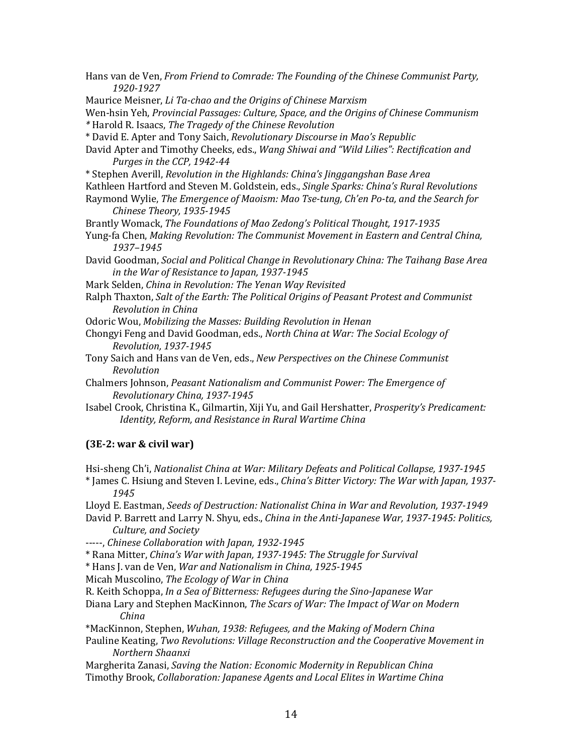| Hans van de Ven, From Friend to Comrade: The Founding of the Chinese Communist Party,<br>1920-1927                                                                                                              |  |  |
|-----------------------------------------------------------------------------------------------------------------------------------------------------------------------------------------------------------------|--|--|
| Maurice Meisner, Li Ta-chao and the Origins of Chinese Marxism                                                                                                                                                  |  |  |
| Wen-hsin Yeh, Provincial Passages: Culture, Space, and the Origins of Chinese Communism                                                                                                                         |  |  |
| * Harold R. Isaacs, The Tragedy of the Chinese Revolution                                                                                                                                                       |  |  |
| * David E. Apter and Tony Saich, Revolutionary Discourse in Mao's Republic                                                                                                                                      |  |  |
| David Apter and Timothy Cheeks, eds., Wang Shiwai and "Wild Lilies": Rectification and                                                                                                                          |  |  |
| Purges in the CCP, 1942-44                                                                                                                                                                                      |  |  |
|                                                                                                                                                                                                                 |  |  |
| * Stephen Averill, Revolution in the Highlands: China's Jinggangshan Base Area                                                                                                                                  |  |  |
| Kathleen Hartford and Steven M. Goldstein, eds., Single Sparks: China's Rural Revolutions<br>Raymond Wylie, The Emergence of Maoism: Mao Tse-tung, Ch'en Po-ta, and the Search for<br>Chinese Theory, 1935-1945 |  |  |
| Brantly Womack, The Foundations of Mao Zedong's Political Thought, 1917-1935                                                                                                                                    |  |  |
| Yung-fa Chen, Making Revolution: The Communist Movement in Eastern and Central China,                                                                                                                           |  |  |
| 1937-1945                                                                                                                                                                                                       |  |  |
|                                                                                                                                                                                                                 |  |  |
| David Goodman, Social and Political Change in Revolutionary China: The Taihang Base Area                                                                                                                        |  |  |
| in the War of Resistance to Japan, 1937-1945                                                                                                                                                                    |  |  |
| Mark Selden, China in Revolution: The Yenan Way Revisited                                                                                                                                                       |  |  |
| Ralph Thaxton, Salt of the Earth: The Political Origins of Peasant Protest and Communist                                                                                                                        |  |  |
| Revolution in China                                                                                                                                                                                             |  |  |
| Odoric Wou, Mobilizing the Masses: Building Revolution in Henan                                                                                                                                                 |  |  |
| Chongyi Feng and David Goodman, eds., North China at War: The Social Ecology of                                                                                                                                 |  |  |
| Revolution, 1937-1945                                                                                                                                                                                           |  |  |
| Tony Saich and Hans van de Ven, eds., New Perspectives on the Chinese Communist                                                                                                                                 |  |  |
| Revolution                                                                                                                                                                                                      |  |  |
| Chalmers Johnson, Peasant Nationalism and Communist Power: The Emergence of                                                                                                                                     |  |  |
| Revolutionary China, 1937-1945                                                                                                                                                                                  |  |  |
| Isabel Crook, Christina K., Gilmartin, Xiji Yu, and Gail Hershatter, Prosperity's Predicament:                                                                                                                  |  |  |
| Identity, Reform, and Resistance in Rural Wartime China                                                                                                                                                         |  |  |
| $(3E-2: war & civil war)$                                                                                                                                                                                       |  |  |
|                                                                                                                                                                                                                 |  |  |
| Hsi-sheng Ch'i, Nationalist China at War: Military Defeats and Political Collapse, 1937-1945<br>* James C. Hsiung and Steven I. Levine, eds., China's Bitter Victory: The War with Japan, 1937-<br>1945         |  |  |
| Lloyd E. Eastman, Seeds of Destruction: Nationalist China in War and Revolution, 1937-1949                                                                                                                      |  |  |
| David P. Barrett and Larry N. Shyu, eds., China in the Anti-Japanese War, 1937-1945: Politics,<br>Culture, and Society                                                                                          |  |  |
| -----, Chinese Collaboration with Japan, 1932-1945                                                                                                                                                              |  |  |
| * Rana Mitter, China's War with Japan, 1937-1945: The Struggle for Survival                                                                                                                                     |  |  |
| * Hans J. van de Ven, War and Nationalism in China, 1925-1945                                                                                                                                                   |  |  |
| Micah Muscolino, The Ecology of War in China                                                                                                                                                                    |  |  |
| R. Keith Schoppa, In a Sea of Bitterness: Refugees during the Sino-Japanese War                                                                                                                                 |  |  |
| Diana Lary and Stephen MacKinnon, The Scars of War: The Impact of War on Modern                                                                                                                                 |  |  |
| China                                                                                                                                                                                                           |  |  |
| *MacKinnon, Stephen, Wuhan, 1938: Refugees, and the Making of Modern China                                                                                                                                      |  |  |
| Pauline Keating, Two Revolutions: Village Reconstruction and the Cooperative Movement in                                                                                                                        |  |  |
| Northern Shaanxi                                                                                                                                                                                                |  |  |
| Margherita Zanasi, Saving the Nation: Economic Modernity in Republican China                                                                                                                                    |  |  |
| Timothy Brook, Collaboration: Japanese Agents and Local Elites in Wartime China                                                                                                                                 |  |  |
|                                                                                                                                                                                                                 |  |  |
|                                                                                                                                                                                                                 |  |  |
| 14                                                                                                                                                                                                              |  |  |
|                                                                                                                                                                                                                 |  |  |
|                                                                                                                                                                                                                 |  |  |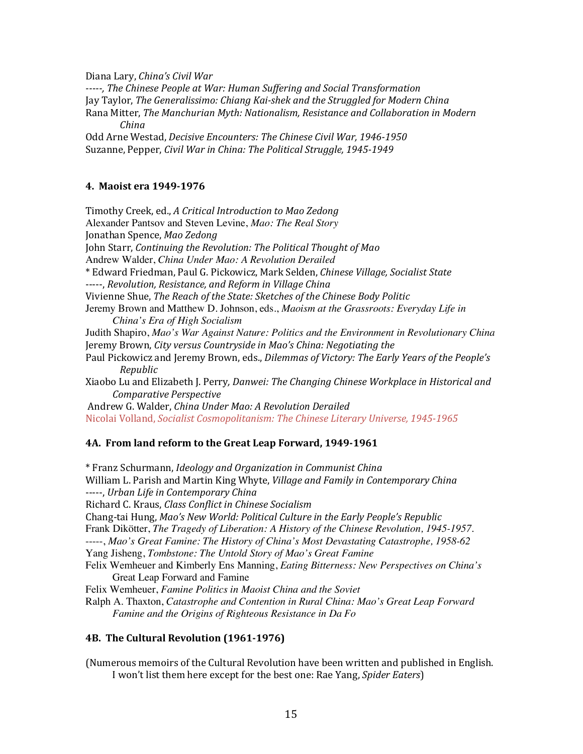Diana Lary, *China's Civil War*

-----, The Chinese People at War: Human Suffering and Social Transformation Jay Taylor, *The Generalissimo: Chiang Kai-shek and the Struggled for Modern China* Rana Mitter, *The Manchurian Myth: Nationalism, Resistance and Collaboration in Modern China*

Odd Arne Westad, *Decisive Encounters: The Chinese Civil War*, 1946-1950 Suzanne, Pepper, *Civil War in China: The Political Struggle, 1945-1949* 

### **4. Maoist era 1949-1976**

Timothy Creek, ed., *A Critical Introduction to Mao Zedong* Alexander Pantsov and Steven Levine, *Mao: The Real Story*  Jonathan Spence, *Mao Zedong* John Starr, *Continuing the Revolution: The Political Thought of Mao* Andrew Walder, *China Under Mao: A Revolution Derailed*  \* Edward Friedman, Paul G. Pickowicz, Mark Selden, *Chinese Village, Socialist State* -----, *Revolution, Resistance, and Reform in Village China* Vivienne Shue, *The Reach of the State: Sketches of the Chinese Body Politic* Jeremy Brown and Matthew D. Johnson, eds., *Maoism at the Grassroots: Everyday Life in China's Era of High Socialism* Judith Shapiro, *Mao's War Against Nature: Politics and the Environment in Revolutionary China* Jeremy Brown, City versus Countryside in Mao's China: Negotiating the Paul Pickowicz and Jeremy Brown, eds., *Dilemmas of Victory: The Early Years of the People's Republic* Xiaobo Lu and Elizabeth J. Perry, Danwei: The Changing Chinese Workplace in Historical and *Comparative Perspective*  Andrew G. Walder, *China Under Mao: A Revolution Derailed* Nicolai Volland, *Socialist Cosmopolitanism: The Chinese Literary Universe, 1945-1965* 

## **4A. From land reform to the Great Leap Forward, 1949-1961**

\* Franz Schurmann, *Ideology and Organization in Communist China* William L. Parish and Martin King Whyte, *Village and Family in Contemporary China* -----, Urban Life in Contemporary China Richard C. Kraus, *Class Conflict in Chinese Socialism* Chang-tai Hung, *Mao's New World: Political Culture in the Early People's Republic* Frank Dikötter, *The Tragedy of Liberation: A History of the Chinese Revolution, 1945-1957.* -----, *Mao's Great Famine: The History of China's Most Devastating Catastrophe, 1958-62*  Yang Jisheng, *Tombstone: The Untold Story of Mao's Great Famine* Felix Wemheuer and Kimberly Ens Manning, *Eating Bitterness: New Perspectives on China's*  Great Leap Forward and Famine Felix Wemheuer, *Famine Politics in Maoist China and the Soviet*  Ralph A. Thaxton, *Catastrophe and Contention in Rural China: Mao's Great Leap Forward Famine and the Origins of Righteous Resistance in Da Fo* 

## **4B.** The Cultural Revolution (1961-1976)

(Numerous memoirs of the Cultural Revolution have been written and published in English. I won't list them here except for the best one: Rae Yang, *Spider Eaters*)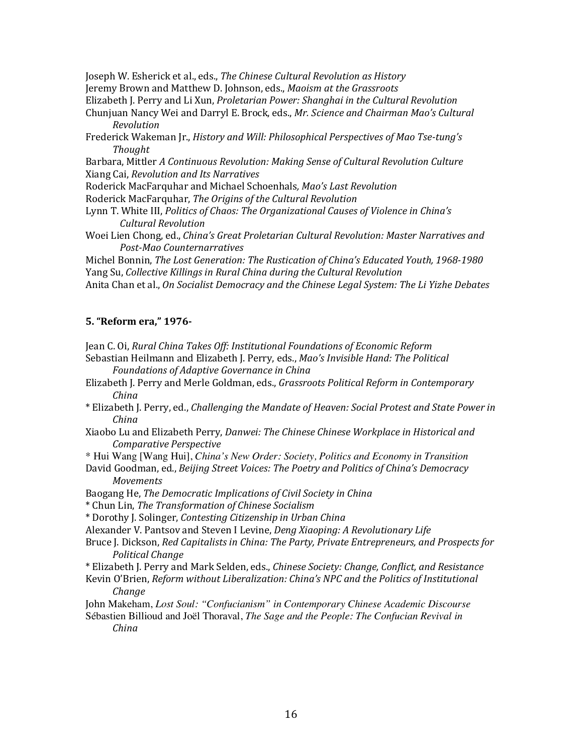Joseph W. Esherick et al., eds., *The Chinese Cultural Revolution as History* 

Jeremy Brown and Matthew D. Johnson, eds., *Maoism at the Grassroots* 

Elizabeth J. Perry and Li Xun, *Proletarian Power: Shanghai in the Cultural Revolution* 

- Chunjuan Nancy Wei and Darryl E. Brock, eds., *Mr. Science and Chairman Mao's Cultural Revolution*
- Frederick Wakeman Jr., *History and Will: Philosophical Perspectives of Mao Tse-tung's Thought*

Barbara, Mittler A Continuous Revolution: Making Sense of Cultural Revolution Culture Xiang Cai, *Revolution and Its Narratives*

Roderick MacFarquhar and Michael Schoenhals*, Mao's Last Revolution*

Roderick MacFarquhar, *The Origins of the Cultural Revolution*

- Lynn T. White III, *Politics of Chaos: The Organizational Causes of Violence in China's Cultural Revolution*
- Woei Lien Chong, ed., *China's Great Proletarian Cultural Revolution: Master Narratives and Post-Mao Counternarratives*

Michel Bonnin, *The Lost Generation: The Rustication of China's Educated Youth, 1968-1980* Yang Su, Collective Killings in Rural China during the Cultural Revolution Anita Chan et al., On Socialist Democracy and the Chinese Legal System: The Li Yizhe Debates

## **5. "Reform era," 1976-**

Jean C. Oi, *Rural China Takes Off: Institutional Foundations of Economic Reform* 

- Sebastian Heilmann and Elizabeth J. Perry, eds., *Mao's Invisible Hand: The Political Foundations of Adaptive Governance in China*
- Elizabeth J. Perry and Merle Goldman, eds., *Grassroots Political Reform in Contemporary China*
- \* Elizabeth J. Perry, ed., *Challenging the Mandate of Heaven: Social Protest and State Power in China*
- Xiaobo Lu and Elizabeth Perry, *Danwei: The Chinese Chinese Workplace in Historical and Comparative Perspective*

\* Hui Wang [Wang Hui], *China's New Order: Society, Politics and Economy in Transition*

David Goodman, ed., *Beijing Street Voices: The Poetry and Politics of China's Democracy Movements*

Baogang He, *The Democratic Implications of Civil Society in China* 

\* Chun Lin, *The Transformation of Chinese Socialism*

\* Dorothy J. Solinger, *Contesting Citizenship in Urban China*

Alexander V. Pantsov and Steven I Levine, *Deng Xiaoping: A Revolutionary Life* 

Bruce J. Dickson, *Red Capitalists in China: The Party, Private Entrepreneurs, and Prospects for Political Change*

\* Elizabeth J. Perry and Mark Selden, eds., *Chinese Society: Change, Conflict, and Resistance*

Kevin O'Brien, *Reform without Liberalization: China's NPC and the Politics of Institutional Change*

- John Makeham, *Lost Soul: "Confucianism" in Contemporary Chinese Academic Discourse*
- Sébastien Billioud and Joël Thoraval, *The Sage and the People: The Confucian Revival in China*